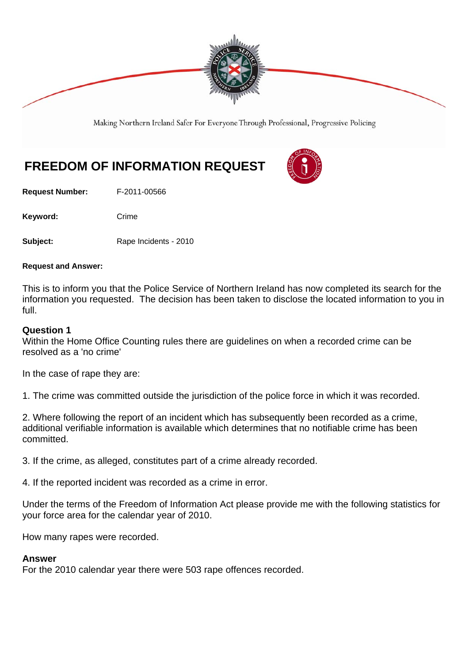

Making Northern Ireland Safer For Everyone Through Professional, Progressive Policing

# **FREEDOM OF INFORMATION REQUEST**

**Request Number:** F-2011-00566

Keyword: Crime

**Subject:** Rape Incidents - 2010

#### **Request and Answer:**

This is to inform you that the Police Service of Northern Ireland has now completed its search for the information you requested. The decision has been taken to disclose the located information to you in full.

## **Question 1**

Within the Home Office Counting rules there are guidelines on when a recorded crime can be resolved as a 'no crime'

In the case of rape they are:

1. The crime was committed outside the jurisdiction of the police force in which it was recorded.

2. Where following the report of an incident which has subsequently been recorded as a crime, additional verifiable information is available which determines that no notifiable crime has been committed.

3. If the crime, as alleged, constitutes part of a crime already recorded.

4. If the reported incident was recorded as a crime in error.

Under the terms of the Freedom of Information Act please provide me with the following statistics for your force area for the calendar year of 2010.

How many rapes were recorded.

### **Answer**

For the 2010 calendar year there were 503 rape offences recorded.